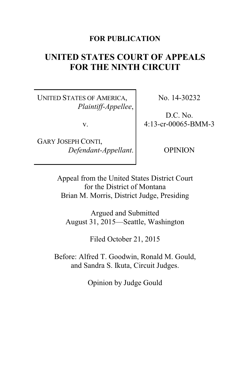## **FOR PUBLICATION**

# **UNITED STATES COURT OF APPEALS FOR THE NINTH CIRCUIT**

UNITED STATES OF AMERICA, *Plaintiff-Appellee*,

v.

GARY JOSEPH CONTI, *Defendant-Appellant*. No. 14-30232

D.C. No. 4:13-cr-00065-BMM-3

OPINION

Appeal from the United States District Court for the District of Montana Brian M. Morris, District Judge, Presiding

Argued and Submitted August 31, 2015—Seattle, Washington

Filed October 21, 2015

Before: Alfred T. Goodwin, Ronald M. Gould, and Sandra S. Ikuta, Circuit Judges.

Opinion by Judge Gould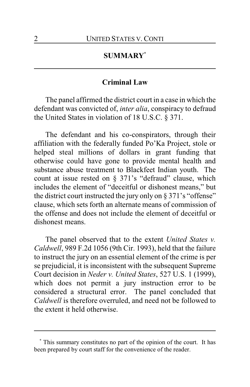# **SUMMARY\***

#### **Criminal Law**

The panel affirmed the district court in a case in which the defendant was convicted of, *inter alia*, conspiracy to defraud the United States in violation of 18 U.S.C. § 371.

The defendant and his co-conspirators, through their affiliation with the federally funded Po'Ka Project, stole or helped steal millions of dollars in grant funding that otherwise could have gone to provide mental health and substance abuse treatment to Blackfeet Indian youth. The count at issue rested on § 371's "defraud" clause, which includes the element of "deceitful or dishonest means," but the district court instructed the jury only on  $\S 371$ 's "offense" clause, which sets forth an alternate means of commission of the offense and does not include the element of deceitful or dishonest means.

The panel observed that to the extent *United States v. Caldwell*, 989 F.2d 1056 (9th Cir. 1993), held that the failure to instruct the jury on an essential element of the crime is per se prejudicial, it is inconsistent with the subsequent Supreme Court decision in *Neder v. United States*, 527 U.S. 1 (1999), which does not permit a jury instruction error to be considered a structural error. The panel concluded that *Caldwell* is therefore overruled, and need not be followed to the extent it held otherwise.

**<sup>\*</sup>** This summary constitutes no part of the opinion of the court. It has been prepared by court staff for the convenience of the reader.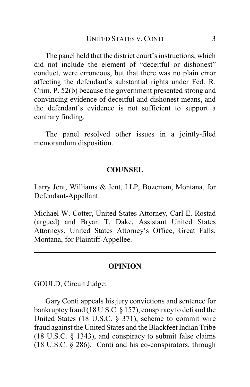The panel held that the district court's instructions, which did not include the element of "deceitful or dishonest" conduct, were erroneous, but that there was no plain error affecting the defendant's substantial rights under Fed. R. Crim. P. 52(b) because the government presented strong and convincing evidence of deceitful and dishonest means, and the defendant's evidence is not sufficient to support a contrary finding.

The panel resolved other issues in a jointly-filed memorandum disposition.

## **COUNSEL**

Larry Jent, Williams & Jent, LLP, Bozeman, Montana, for Defendant-Appellant.

Michael W. Cotter, United States Attorney, Carl E. Rostad (argued) and Bryan T. Dake, Assistant United States Attorneys, United States Attorney's Office, Great Falls, Montana, for Plaintiff-Appellee.

#### **OPINION**

GOULD, Circuit Judge:

Gary Conti appeals his jury convictions and sentence for bankruptcy fraud (18 U.S.C. § 157), conspiracy to defraud the United States (18 U.S.C. § 371), scheme to commit wire fraud against the United States and the Blackfeet Indian Tribe (18 U.S.C. § 1343), and conspiracy to submit false claims (18 U.S.C. § 286). Conti and his co-conspirators, through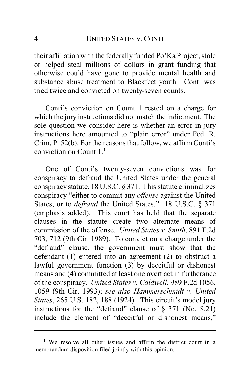their affiliation with the federally funded Po'Ka Project, stole or helped steal millions of dollars in grant funding that otherwise could have gone to provide mental health and substance abuse treatment to Blackfeet youth. Conti was tried twice and convicted on twenty-seven counts.

Conti's conviction on Count 1 rested on a charge for which the jury instructions did not match the indictment. The sole question we consider here is whether an error in jury instructions here amounted to "plain error" under Fed. R. Crim. P. 52(b). For the reasons that follow, we affirm Conti's conviction on Count 1.**<sup>1</sup>**

One of Conti's twenty-seven convictions was for conspiracy to defraud the United States under the general conspiracy statute, 18 U.S.C. § 371. This statute criminalizes conspiracy "either to commit any *offense* against the United States, or to *defraud* the United States." 18 U.S.C. § 371 (emphasis added). This court has held that the separate clauses in the statute create two alternate means of commission of the offense. *United States v. Smith*, 891 F.2d 703, 712 (9th Cir. 1989). To convict on a charge under the "defraud" clause, the government must show that the defendant (1) entered into an agreement (2) to obstruct a lawful government function (3) by deceitful or dishonest means and (4) committed at least one overt act in furtherance of the conspiracy. *United States v. Caldwell*, 989 F.2d 1056, 1059 (9th Cir. 1993); *see also Hammerschmidt v. United States*, 265 U.S. 182, 188 (1924). This circuit's model jury instructions for the "defraud" clause of § 371 (No. 8.21) include the element of "deceitful or dishonest means,"

**<sup>1</sup>** We resolve all other issues and affirm the district court in a memorandum disposition filed jointly with this opinion.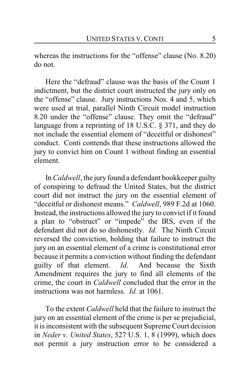whereas the instructions for the "offense" clause (No. 8.20) do not.

Here the "defraud" clause was the basis of the Count 1 indictment, but the district court instructed the jury only on the "offense" clause. Jury instructions Nos. 4 and 5, which were used at trial, parallel Ninth Circuit model instruction 8.20 under the "offense" clause. They omit the "defraud" language from a reprinting of 18 U.S.C. § 371, and they do not include the essential element of "deceitful or dishonest" conduct. Conti contends that these instructions allowed the jury to convict him on Count 1 without finding an essential element.

In *Caldwell*, the jury found a defendant bookkeeper guilty of conspiring to defraud the United States, but the district court did not instruct the jury on the essential element of "deceitful or dishonest means." *Caldwell*, 989 F.2d at 1060. Instead, the instructions allowed the jury to convict if it found a plan to "obstruct" or "impede" the IRS, even if the defendant did not do so dishonestly. *Id.* The Ninth Circuit reversed the conviction, holding that failure to instruct the jury on an essential element of a crime is constitutional error because it permits a conviction without finding the defendant guilty of that element. *Id*. And because the Sixth Amendment requires the jury to find all elements of the crime, the court in *Caldwell* concluded that the error in the instructions was not harmless. *Id.* at 1061.

To the extent *Caldwell* held that the failure to instruct the jury on an essential element of the crime is per se prejudicial, it is inconsistent with the subsequent Supreme Court decision in *Neder v. United States*, 527 U.S. 1, 8 (1999), which does not permit a jury instruction error to be considered a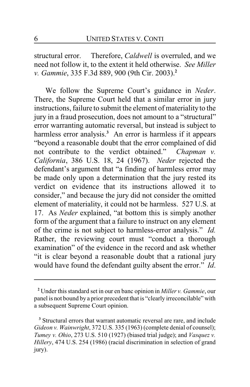structural error. Therefore, *Caldwell* is overruled, and we need not follow it, to the extent it held otherwise. *See Miller v. Gammie*, 335 F.3d 889, 900 (9th Cir. 2003).**<sup>2</sup>**

We follow the Supreme Court's guidance in *Neder*. There, the Supreme Court held that a similar error in jury instructions, failure to submit the element of materiality to the jury in a fraud prosecution, does not amount to a "structural" error warranting automatic reversal, but instead is subject to harmless error analysis.<sup>3</sup> An error is harmless if it appears "beyond a reasonable doubt that the error complained of did not contribute to the verdict obtained." *Chapman v. California*, 386 U.S. 18, 24 (1967). *Neder* rejected the defendant's argument that "a finding of harmless error may be made only upon a determination that the jury rested its verdict on evidence that its instructions allowed it to consider," and because the jury did not consider the omitted element of materiality, it could not be harmless. 527 U.S. at 17. As *Neder* explained, "at bottom this is simply another form of the argument that a failure to instruct on any element of the crime is not subject to harmless-error analysis." *Id.* Rather, the reviewing court must "conduct a thorough examination" of the evidence in the record and ask whether "it is clear beyond a reasonable doubt that a rational jury would have found the defendant guilty absent the error." *Id*.

**<sup>2</sup>** Under this standard set in our en banc opinion in *Miller v. Gammie*, our panel is not bound by a prior precedent that is "clearly irreconcilable" with a subsequent Supreme Court opinion.

<sup>&</sup>lt;sup>3</sup> Structural errors that warrant automatic reversal are rare, and include *Gideon v. Wainwright*, 372 U.S. 335 (1963) (complete denial of counsel); *Tumey v. Ohio*, 273 U.S. 510 (1927) (biased trial judge); and *Vasquez v. Hillery*, 474 U.S. 254 (1986) (racial discrimination in selection of grand jury).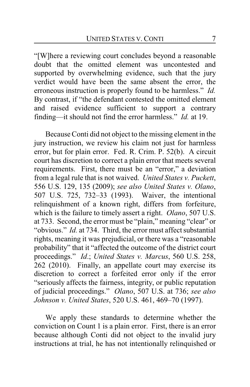"[W]here a reviewing court concludes beyond a reasonable doubt that the omitted element was uncontested and supported by overwhelming evidence, such that the jury verdict would have been the same absent the error, the erroneous instruction is properly found to be harmless." *Id.* By contrast, if "the defendant contested the omitted element and raised evidence sufficient to support a contrary finding—it should not find the error harmless." *Id.* at 19.

Because Conti did not object to the missing element in the jury instruction, we review his claim not just for harmless error, but for plain error. Fed. R. Crim. P. 52(b). A circuit court has discretion to correct a plain error that meets several requirements. First, there must be an "error," a deviation from a legal rule that is not waived. *United States v. Puckett*, 556 U.S. 129, 135 (2009); *see also United States v. Olano*, 507 U.S. 725, 732–33 (1993). Waiver, the intentional relinquishment of a known right, differs from forfeiture, which is the failure to timely assert a right. *Olano*, 507 U.S. at 733. Second, the error must be "plain," meaning "clear" or "obvious." *Id.* at 734. Third, the error must affect substantial rights, meaning it was prejudicial, or there was a "reasonable probability" that it "affected the outcome of the district court proceedings." *Id*.; *United States v. Marcus*, 560 U.S. 258, 262 (2010). Finally, an appellate court may exercise its discretion to correct a forfeited error only if the error "seriously affects the fairness, integrity, or public reputation of judicial proceedings." *Olano*, 507 U.S. at 736; *see also Johnson v. United States*, 520 U.S. 461, 469–70 (1997).

We apply these standards to determine whether the conviction on Count 1 is a plain error. First, there is an error because although Conti did not object to the invalid jury instructions at trial, he has not intentionally relinquished or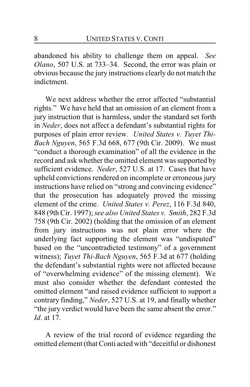abandoned his ability to challenge them on appeal. *See Olano*, 507 U.S. at 733–34. Second, the error was plain or obvious because the jury instructions clearly do not match the indictment.

We next address whether the error affected "substantial rights." We have held that an omission of an element from a jury instruction that is harmless, under the standard set forth in *Neder*, does not affect a defendant's substantial rights for purposes of plain error review. *United States v. Tuyet Thi-Bach Nguyen*, 565 F.3d 668, 677 (9th Cir. 2009). We must "conduct a thorough examination" of all the evidence in the record and ask whether the omitted element was supported by sufficient evidence. *Neder*, 527 U.S. at 17. Cases that have upheld convictions rendered on incomplete or erroneous jury instructions have relied on "strong and convincing evidence" that the prosecution has adequately proved the missing element of the crime. *United States v. Perez*, 116 F.3d 840, 848 (9th Cir. 1997); *see also United States v. Smith*, 282 F.3d 758 (9th Cir. 2002) (holding that the omission of an element from jury instructions was not plain error where the underlying fact supporting the element was "undisputed" based on the "uncontradicted testimony" of a government witness); *Tuyet Thi-Bach Nguyen*, 565 F.3d at 677 (holding the defendant's substantial rights were not affected because of "overwhelming evidence" of the missing element). We must also consider whether the defendant contested the omitted element "and raised evidence sufficient to support a contrary finding," *Neder*, 527 U.S. at 19, and finally whether "the jury verdict would have been the same absent the error." *Id*. at 17.

A review of the trial record of evidence regarding the omitted element (that Conti acted with "deceitful or dishonest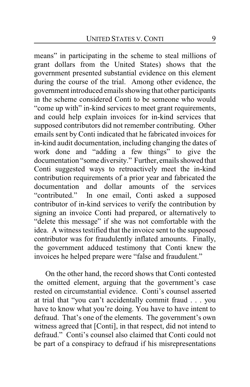means" in participating in the scheme to steal millions of grant dollars from the United States) shows that the government presented substantial evidence on this element during the course of the trial. Among other evidence, the government introduced emails showing that other participants in the scheme considered Conti to be someone who would "come up with" in-kind services to meet grant requirements, and could help explain invoices for in-kind services that supposed contributors did not remember contributing. Other emails sent by Conti indicated that he fabricated invoices for in-kind audit documentation, including changing the dates of work done and "adding a few things" to give the documentation "some diversity." Further, emails showed that Conti suggested ways to retroactively meet the in-kind contribution requirements of a prior year and fabricated the documentation and dollar amounts of the services "contributed." In one email, Conti asked a supposed contributor of in-kind services to verify the contribution by signing an invoice Conti had prepared, or alternatively to "delete this message" if she was not comfortable with the idea. A witness testified that the invoice sent to the supposed contributor was for fraudulently inflated amounts. Finally, the government adduced testimony that Conti knew the invoices he helped prepare were "false and fraudulent."

On the other hand, the record shows that Conti contested the omitted element, arguing that the government's case rested on circumstantial evidence. Conti's counsel asserted at trial that "you can't accidentally commit fraud . . . you have to know what you're doing. You have to have intent to defraud. That's one of the elements. The government's own witness agreed that [Conti], in that respect, did not intend to defraud." Conti's counsel also claimed that Conti could not be part of a conspiracy to defraud if his misrepresentations